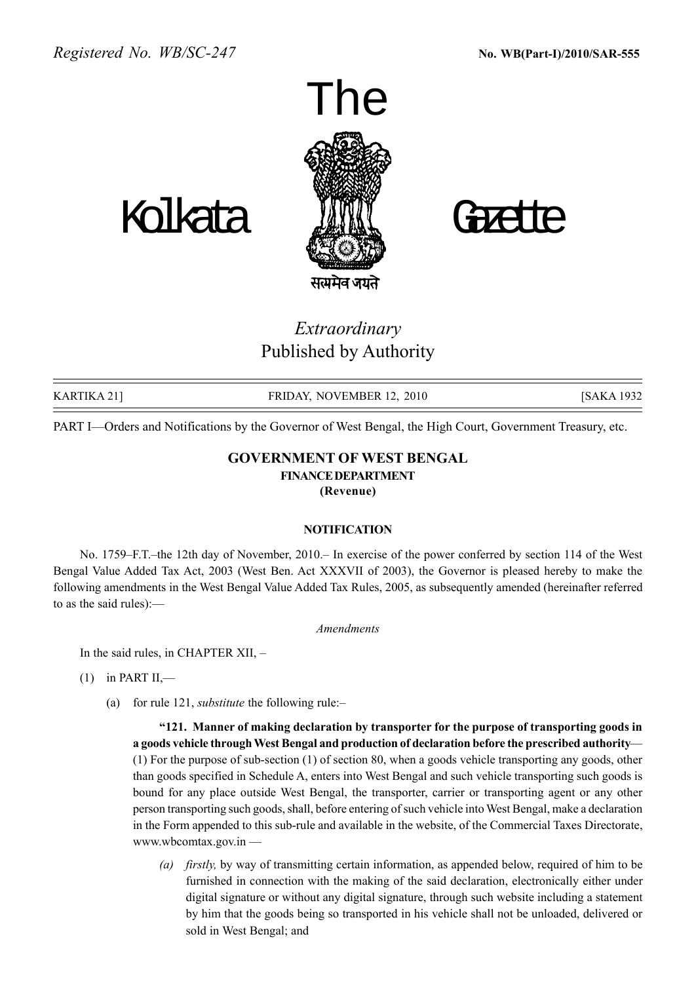

Extraordinary Published by Authority

KARTIKA 21] FRIDAY, NOVEMBER 12, 2010 [SAKA 1932

PART I—Orders and Notifications by the Governor of West Bengal, the High Court, Government Treasury, etc.

## GOVERNMENT OF WEST BENGAL FINANCEDEPARTMENT (Revenue)

### NOTIFICATION

No. 1759–F.T.–the 12th day of November, 2010. In exercise of the power conferred by section 114 of the West Bengal Value Added Tax Act, 2003 (West Ben. Act XXXVII of 2003), the Governor is pleased hereby to make the following amendments in the West Bengal Value Added Tax Rules, 2005, as subsequently amended (hereinafter referred to as the said rules): $-$ 

Amendments

In the said rules, in CHAPTER  $XII$ ,  $-$ 

- $(1)$  in PART II,—
	- (a) for rule 121, *substitute* the following rule: $-$

ì121. Manner of making declaration by transporter for the purpose of transporting goods in a goods vehicle through West Bengal and production of declaration before the prescribed authority— (1) For the purpose of sub-section (1) of section 80, when a goods vehicle transporting any goods, other than goods specified in Schedule A, enters into West Bengal and such vehicle transporting such goods is bound for any place outside West Bengal, the transporter, carrier or transporting agent or any other person transporting such goods, shall, before entering of such vehicle into West Bengal, make a declaration in the Form appended to this sub-rule and available in the website, of the Commercial Taxes Directorate, www.wbcomtax.gov.in  $-$ 

(a) firstly, by way of transmitting certain information, as appended below, required of him to be furnished in connection with the making of the said declaration, electronically either under digital signature or without any digital signature, through such website including a statement by him that the goods being so transported in his vehicle shall not be unloaded, delivered or sold in West Bengal; and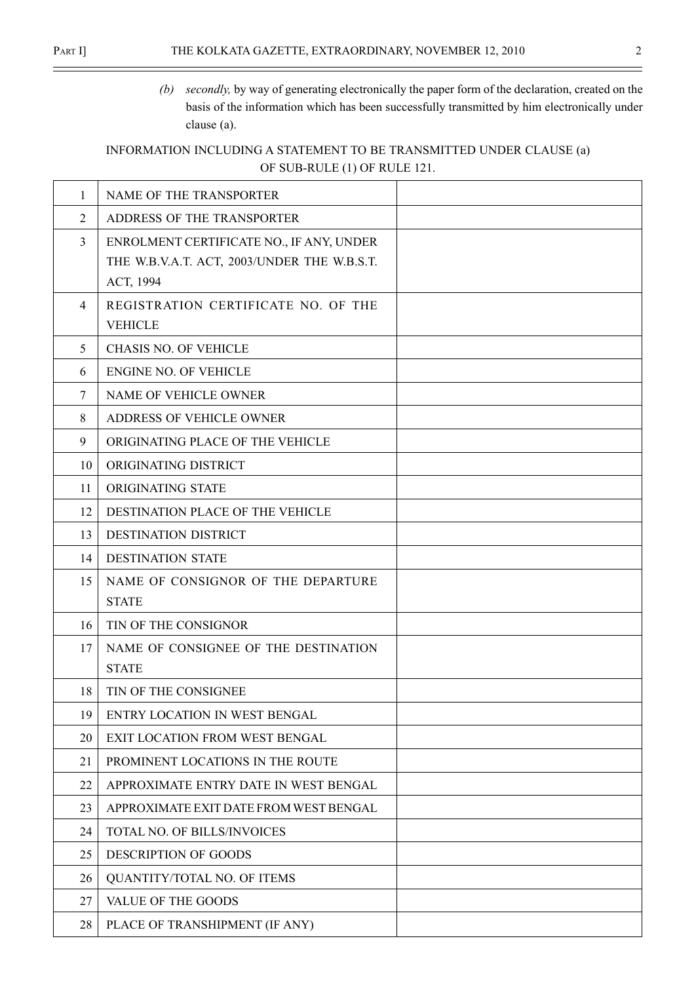$\equiv$ 

(b) secondly, by way of generating electronically the paper form of the declaration, created on the basis of the information which has been successfully transmitted by him electronically under clause (a).

# INFORMATION INCLUDING A STATEMENT TO BE TRANSMITTED UNDER CLAUSE (a) OF SUB-RULE (1) OF RULE 121.

| 1              | NAME OF THE TRANSPORTER                     |  |
|----------------|---------------------------------------------|--|
| 2              | ADDRESS OF THE TRANSPORTER                  |  |
| $\overline{3}$ | ENROLMENT CERTIFICATE NO., IF ANY, UNDER    |  |
|                | THE W.B.V.A.T. ACT, 2003/UNDER THE W.B.S.T. |  |
|                | ACT, 1994                                   |  |
| $\overline{4}$ | REGISTRATION CERTIFICATE NO. OF THE         |  |
|                | <b>VEHICLE</b>                              |  |
| 5              | <b>CHASIS NO. OF VEHICLE</b>                |  |
| 6              | <b>ENGINE NO. OF VEHICLE</b>                |  |
| $\tau$         | NAME OF VEHICLE OWNER                       |  |
| 8              | ADDRESS OF VEHICLE OWNER                    |  |
| 9              | ORIGINATING PLACE OF THE VEHICLE            |  |
| 10             | ORIGINATING DISTRICT                        |  |
| 11             | ORIGINATING STATE                           |  |
| 12             | DESTINATION PLACE OF THE VEHICLE            |  |
| 13             | DESTINATION DISTRICT                        |  |
| 14             | <b>DESTINATION STATE</b>                    |  |
| 15             | NAME OF CONSIGNOR OF THE DEPARTURE          |  |
|                | <b>STATE</b>                                |  |
| 16             | TIN OF THE CONSIGNOR                        |  |
| 17             | NAME OF CONSIGNEE OF THE DESTINATION        |  |
|                | <b>STATE</b>                                |  |
| 18             | TIN OF THE CONSIGNEE                        |  |
| 19             | ENTRY LOCATION IN WEST BENGAL               |  |
| 20             | EXIT LOCATION FROM WEST BENGAL              |  |
| 21             | PROMINENT LOCATIONS IN THE ROUTE            |  |
| 22             | APPROXIMATE ENTRY DATE IN WEST BENGAL       |  |
| 23             | APPROXIMATE EXIT DATE FROM WEST BENGAL      |  |
| 24             | TOTAL NO. OF BILLS/INVOICES                 |  |
| 25             | DESCRIPTION OF GOODS                        |  |
| 26             | QUANTITY/TOTAL NO. OF ITEMS                 |  |
| 27             | VALUE OF THE GOODS                          |  |
| 28             | PLACE OF TRANSHIPMENT (IF ANY)              |  |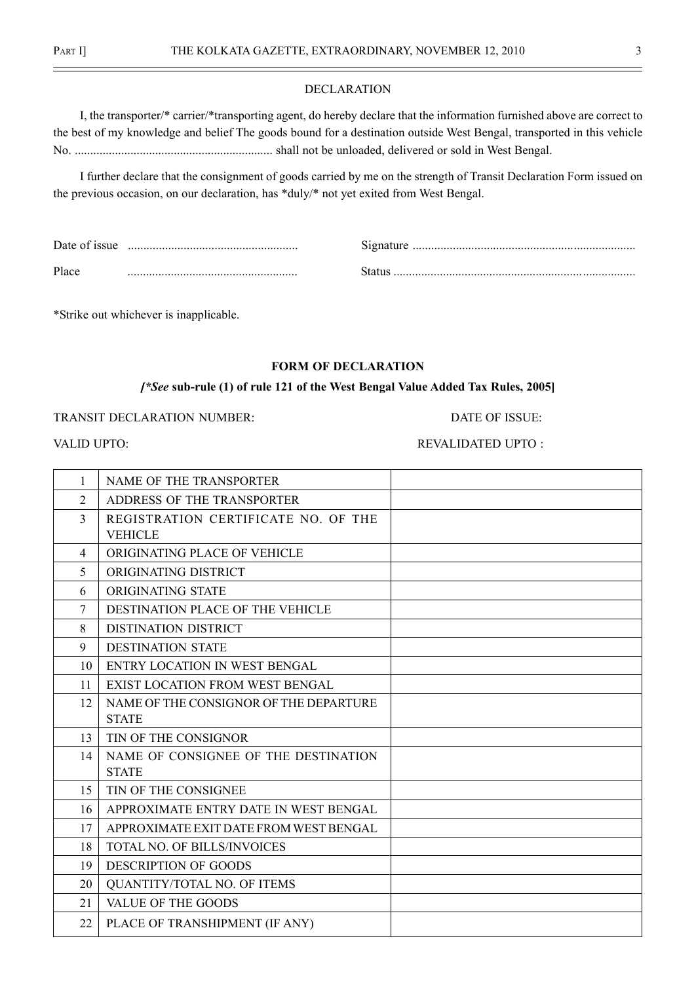#### DECLARATION

I, the transporter/\* carrier/\*transporting agent, do hereby declare that the information furnished above are correct to the best of my knowledge and belief The goods bound for a destination outside West Bengal, transported in this vehicle No. ................................................................ shall not be unloaded, delivered or sold in West Bengal.

I further declare that the consignment of goods carried by me on the strength of Transit Declaration Form issued on the previous occasion, on our declaration, has \*duly/\* not yet exited from West Bengal.

| Date of issue | signature |
|---------------|-----------|
| Place         | status    |

\*Strike out whichever is inapplicable.

### FORM OF DECLARATION

## [\*See sub-rule (1) of rule 121 of the West Bengal Value Added Tax Rules, 2005]

## TRANSIT DECLARATION NUMBER: DATE OF ISSUE:

## VALID UPTO: SALID UPTO: SALIDATED UPTO : SALIDATED UPTO : SALIDATED UPTO : SALIDATED UPTO : SALIDATED UPTO : SALIDATED UPTO : SALIDATED UPTO : SALIDATED UPTO : SALIDATED UPTO : SALIDATED UPTO : SALIDATED UPTO : SALIDATED U

| 1              | NAME OF THE TRANSPORTER                |  |
|----------------|----------------------------------------|--|
| $\overline{2}$ | ADDRESS OF THE TRANSPORTER             |  |
| 3              | REGISTRATION CERTIFICATE NO. OF THE    |  |
|                | <b>VEHICLE</b>                         |  |
| $\overline{4}$ | ORIGINATING PLACE OF VEHICLE           |  |
| 5              | ORIGINATING DISTRICT                   |  |
| 6              | ORIGINATING STATE                      |  |
| 7              | DESTINATION PLACE OF THE VEHICLE       |  |
| 8              | <b>DISTINATION DISTRICT</b>            |  |
| 9              | <b>DESTINATION STATE</b>               |  |
| 10             | ENTRY LOCATION IN WEST BENGAL          |  |
| 11             | <b>EXIST LOCATION FROM WEST BENGAL</b> |  |
| 12             | NAME OF THE CONSIGNOR OF THE DEPARTURE |  |
|                | <b>STATE</b>                           |  |
| 13             | TIN OF THE CONSIGNOR                   |  |
| 14             | NAME OF CONSIGNEE OF THE DESTINATION   |  |
|                | <b>STATE</b>                           |  |
| 15             | TIN OF THE CONSIGNEE                   |  |
| 16             | APPROXIMATE ENTRY DATE IN WEST BENGAL  |  |
| 17             | APPROXIMATE EXIT DATE FROM WEST BENGAL |  |
| 18             | TOTAL NO. OF BILLS/INVOICES            |  |
| 19             | <b>DESCRIPTION OF GOODS</b>            |  |
| 20             | QUANTITY/TOTAL NO. OF ITEMS            |  |
| 21             | VALUE OF THE GOODS                     |  |
| 22             | PLACE OF TRANSHIPMENT (IF ANY)         |  |
|                |                                        |  |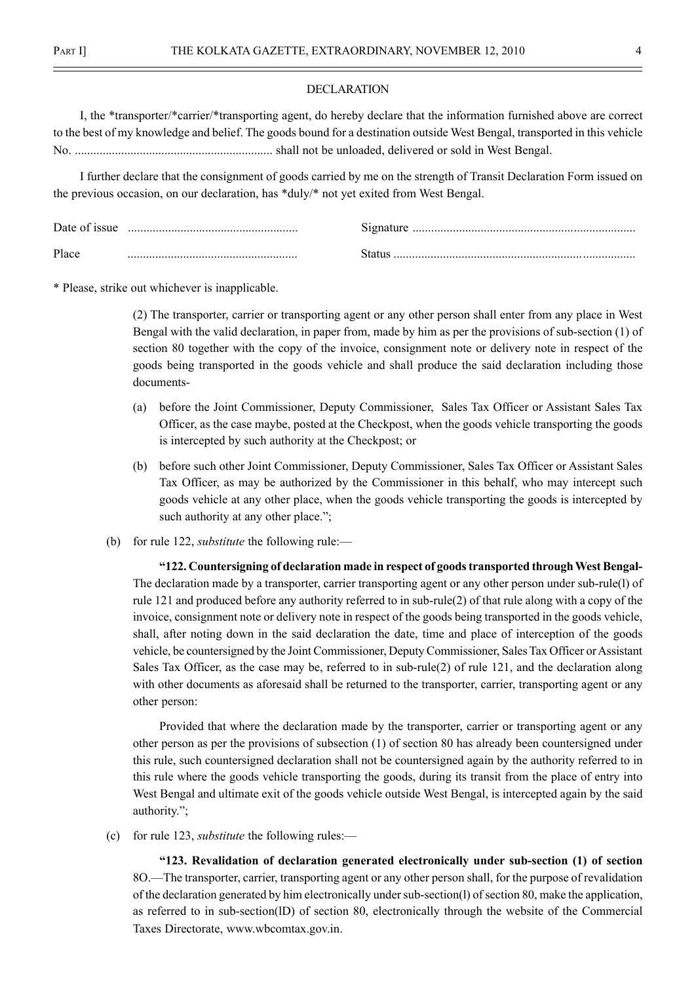#### DECLARATION

I, the \*transporter/\*carrier/\*transporting agent, do hereby declare that the information furnished above are correct to the best of my knowledge and belief. The goods bound for a destination outside West Bengal, transported in this vehicle No. ................................................................ shall not be unloaded, delivered or sold in West Bengal.

I further declare that the consignment of goods carried by me on the strength of Transit Declaration Form issued on the previous occasion, on our declaration, has \*duly/\* not yet exited from West Bengal.

| Date of issue | Signature |
|---------------|-----------|
| Place         |           |

\* Please, strike out whichever is inapplicable.

(2) The transporter, carrier or transporting agent or any other person shall enter from any place in West Bengal with the valid declaration, in paper from, made by him as per the provisions of sub-section (1) of section 80 together with the copy of the invoice, consignment note or delivery note in respect of the goods being transported in the goods vehicle and shall produce the said declaration including those documents-

- (a) before the Joint Commissioner, Deputy Commissioner, Sales Tax Officer or Assistant Sales Tax Officer, as the case maybe, posted at the Checkpost, when the goods vehicle transporting the goods is intercepted by such authority at the Checkpost; or
- (b) before such other Joint Commissioner, Deputy Commissioner, Sales Tax Officer or Assistant Sales Tax Officer, as may be authorized by the Commissioner in this behalf, who may intercept such goods vehicle at any other place, when the goods vehicle transporting the goods is intercepted by such authority at any other place.";
- (b) for rule 122, *substitute* the following rule: $\rightarrow$

ì122. Countersigning of declaration made in respect of goods transported throughWest Bengal-The declaration made by a transporter, carrier transporting agent or any other person under sub-rule(l) of rule 121 and produced before any authority referred to in sub-rule(2) of that rule along with a copy of the invoice, consignment note or delivery note in respect of the goods being transported in the goods vehicle, shall, after noting down in the said declaration the date, time and place of interception of the goods vehicle, be countersigned by the Joint Commissioner, Deputy Commissioner, Sales Tax Officer or Assistant Sales Tax Officer, as the case may be, referred to in sub-rule(2) of rule 121, and the declaration along with other documents as aforesaid shall be returned to the transporter, carrier, transporting agent or any other person:

Provided that where the declaration made by the transporter, carrier or transporting agent or any other person as per the provisions of subsection (1) of section 80 has already been countersigned under this rule, such countersigned declaration shall not be countersigned again by the authority referred to in this rule where the goods vehicle transporting the goods, during its transit from the place of entry into West Bengal and ultimate exit of the goods vehicle outside West Bengal, is intercepted again by the said authority.";

(c) for rule 123, *substitute* the following rules:—

ì123. Revalidation of declaration generated electronically under sub-section (1) of section 8O.—The transporter, carrier, transporting agent or any other person shall, for the purpose of revalidation of the declaration generated by him electronically under sub-section(l) of section 80, make the application, as referred to in sub-section(lD) of section 80, electronically through the website of the Commercial Taxes Directorate, www.wbcomtax.gov.in.